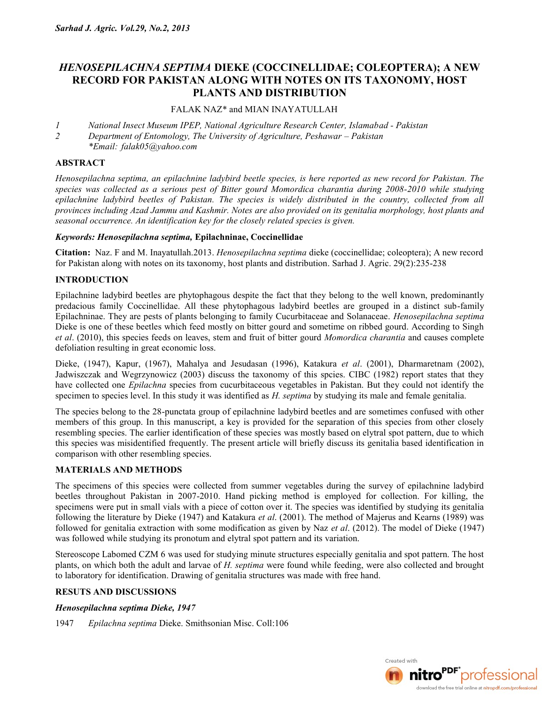# *HENOSEPILACHNA SEPTIMA* **DIEKE (COCCINELLIDAE; COLEOPTERA); A NEW RECORD FOR PAKISTAN ALONG WITH NOTES ON ITS TAXONOMY, HOST PLANTS AND DISTRIBUTION**

## FALAK NAZ\* and MIAN INAYATULLAH

- *1 National Insect Museum IPEP, National Agriculture Research Center, Islamabad Pakistan*
- *2 Department of Entomology, The University of Agriculture, Peshawar Pakistan*
- *\*Email: falak05@yahoo.com*

## **ABSTRACT**

*Henosepilachna septima, an epilachnine ladybird beetle species, is here reported as new record for Pakistan. The species was collected as a serious pest of Bitter gourd Momordica charantia during 2008-2010 while studying epilachnine ladybird beetles of Pakistan. The species is widely distributed in the country, collected from all provinces including Azad Jammu and Kashmir. Notes are also provided on its genitalia morphology, host plants and seasonal occurrence. An identification key for the closely related species is given.*

#### *Keywords: Henosepilachna septima,* **Epilachninae, Coccinellidae**

**Citation:** Naz. F and M. Inayatullah.2013. *Henosepilachna septima* dieke (coccinellidae; coleoptera); A new record for Pakistan along with notes on its taxonomy, host plants and distribution. Sarhad J. Agric. 29(2):235-238

## **INTRODUCTION**

Epilachnine ladybird beetles are phytophagous despite the fact that they belong to the well known, predominantly predacious family Coccinellidae. All these phytophagous ladybird beetles are grouped in a distinct sub-family Epilachninae. They are pests of plants belonging to family Cucurbitaceae and Solanaceae. *Henosepilachna septima* Dieke is one of these beetles which feed mostly on bitter gourd and sometime on ribbed gourd. According to Singh *et al*. (2010), this species feeds on leaves, stem and fruit of bitter gourd *Momordica charantia* and causes complete defoliation resulting in great economic loss.

Dieke, (1947), Kapur, (1967), Mahalya and Jesudasan (1996), Katakura *et al*. (2001), Dharmaretnam (2002), Jadwiszczak and Wegrzynowicz (2003) discuss the taxonomy of this spcies. CIBC (1982) report states that they have collected one *Epilachna* species from cucurbitaceous vegetables in Pakistan. But they could not identify the specimen to species level. In this study it was identified as *H. septima* by studying its male and female genitalia.

The species belong to the 28-punctata group of epilachnine ladybird beetles and are sometimes confused with other members of this group. In this manuscript, a key is provided for the separation of this species from other closely resembling species. The earlier identification of these species was mostly based on elytral spot pattern, due to which this species was misidentified frequently. The present article will briefly discuss its genitalia based identification in comparison with other resembling species.

## **MATERIALS AND METHODS**

The specimens of this species were collected from summer vegetables during the survey of epilachnine ladybird beetles throughout Pakistan in 2007-2010. Hand picking method is employed for collection. For killing, the specimens were put in small vials with a piece of cotton over it. The species was identified by studying its genitalia following the literature by Dieke (1947) and Katakura *et al*. (2001). The method of Majerus and Kearns (1989) was followed for genitalia extraction with some modification as given by Naz *et al*. (2012). The model of Dieke (1947) was followed while studying its pronotum and elytral spot pattern and its variation.

Stereoscope Labomed CZM 6 was used for studying minute structures especially genitalia and spot pattern. The host plants, on which both the adult and larvae of *H. septima* were found while feeding, were also collected and brought to laboratory for identification. Drawing of genitalia structures was made with free hand.

## **RESUTS AND DISCUSSIONS**

## *Henosepilachna septima Dieke, 1947*

1947 *Epilachna septima* Dieke. Smithsonian Misc. Coll:106

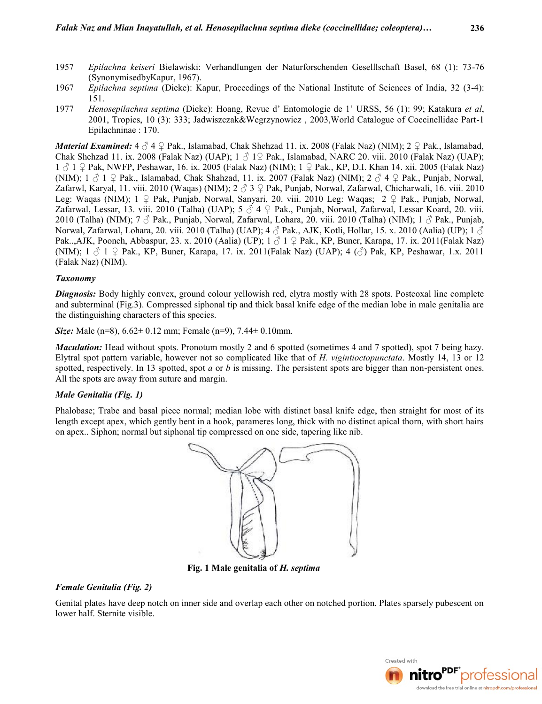- 1957 *Epilachna keiseri* Bielawiski: Verhandlungen der Naturforschenden Geselllschaft Basel, 68 (1): 73-76 (SynonymisedbyKapur, 1967).
- 1967 *Epilachna septima* (Dieke): Kapur, Proceedings of the National Institute of Sciences of India, 32 (3-4): 151.
- 1977 *Henosepilachna septima* (Dieke): Hoang, Revue d' Entomologie de 1' URSS, 56 (1): 99; Katakura *et al*, 2001, Tropics, 10 (3): 333; Jadwiszczak&Wegrzynowicz , 2003,World Catalogue of Coccinellidae Part-1 Epilachninae : 170.

*Material Examined:* 4 ♂ 4 ♀ Pak., Islamabad, Chak Shehzad 11. ix. 2008 (Falak Naz) (NIM): 2 ♀ Pak., Islamabad, Chak Shehzad 11. ix. 2008 (Falak Naz) (UAP);  $1 \nless 19$  Pak., Islamabad, NARC 20. viii. 2010 (Falak Naz) (UAP); 1 ♂ 1 ♀ Pak, NWFP, Peshawar, 16. ix. 2005 (Falak Naz) (NIM); 1 ♀ Pak., KP, D.I. Khan 14. xii. 2005 (Falak Naz) (NIM);  $1 \nless 1 \nless 2$  Pak., Islamabad, Chak Shahzad, 11. ix. 2007 (Falak Naz) (NIM);  $2 \nless 4 \nless 2$  Pak., Punjab, Norwal, Zafarwl, Karyal, 11. viii. 2010 (Waqas) (NIM);  $2 \uparrow 3$  º Pak, Punjab, Norwal, Zafarwal, Chicharwali, 16. viii. 2010 Leg: Waqas (NIM); 1 ♀ Pak, Punjab, Norwal, Sanyari, 20. viii. 2010 Leg: Waqas; 2 ♀ Pak., Punjab, Norwal, Zafarwal, Lessar, 13. viii. 2010 (Talha) (UAP); 5  $\vec{\triangle}$  4  $\hat{\triangle}$  Pak., Punjab, Norwal, Zafarwal, Lessar Koard, 20. viii. 2010 (Talha) (NIM);  $7 \text{ } \frac{3}{2}$  Pak., Punjab, Norwal, Zafarwal, Lohara, 20. viii. 2010 (Talha) (NIM);  $1 \text{ } \frac{3}{2}$  Pak., Punjab, Norwal, Zafarwal, Lohara, 20. viii. 2010 (Talha) (UAP); 4  $\circledcirc$  Pak., AJK, Kotli, Hollar, 15. x. 2010 (Aalia) (UP); 1  $\circledcirc$ Pak., AJK, Poonch, Abbaspur, 23. x. 2010 (Aalia) (UP);  $1 \text{ } \textcircled{1} 1 \text{ } \textcircled{2}$  Pak., KP, Buner, Karapa, 17. ix. 2011(Falak Naz) (NIM);  $1 \text{ } \mathcal{S}$  1  $\mathcal{Q}$  Pak., KP, Buner, Karapa, 17. ix. 2011(Falak Naz) (UAP); 4  $(\mathcal{S})$  Pak, KP, Peshawar, 1.x. 2011 (Falak Naz) (NIM).

#### *Taxonomy*

*Diagnosis:* Body highly convex, ground colour yellowish red, elytra mostly with 28 spots. Postcoxal line complete and subterminal (Fig.3). Compressed siphonal tip and thick basal knife edge of the median lobe in male genitalia are the distinguishing characters of this species.

*Size:* Male (n=8), 6.62± 0.12 mm; Female (n=9), 7.44± 0.10mm.

*Maculation:* Head without spots. Pronotum mostly 2 and 6 spotted (sometimes 4 and 7 spotted), spot 7 being hazy. Elytral spot pattern variable, however not so complicated like that of *H. vigintioctopunctata*. Mostly 14, 13 or 12 spotted, respectively. In 13 spotted, spot *a* or *b* is missing. The persistent spots are bigger than non-persistent ones. All the spots are away from suture and margin.

## *Male Genitalia (Fig. 1)*

Phalobase; Trabe and basal piece normal; median lobe with distinct basal knife edge, then straight for most of its length except apex, which gently bent in a hook, parameres long, thick with no distinct apical thorn, with short hairs on apex.. Siphon; normal but siphonal tip compressed on one side, tapering like nib.



**Fig. 1 Male genitalia of** *H. septima*

#### *Female Genitalia (Fig. 2)*

Genital plates have deep notch on inner side and overlap each other on notched portion. Plates sparsely pubescent on lower half. Sternite visible.

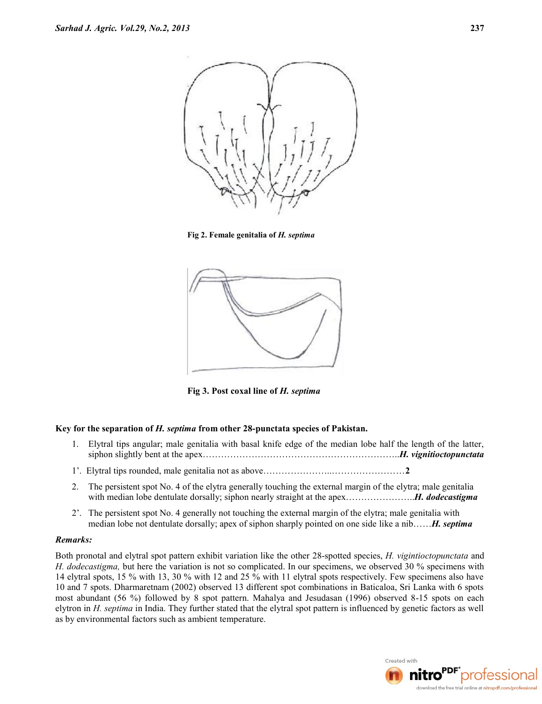

**Fig 2. Female genitalia of** *H. septima*



**Fig 3. Post coxal line of** *H. septima*

## **Key for the separation of** *H. septima* **from other 28-punctata species of Pakistan.**

- 1. Elytral tips angular; male genitalia with basal knife edge of the median lobe half the length of the latter, siphon slightly bent at the apex………………………………………………………..*H. vignitioctopunctata*
- 1'. Elytral tips rounded, male genitalia not as above…………………..……………………**2**
- 2. The persistent spot No. 4 of the elytra generally touching the external margin of the elytra; male genitalia with median lobe dentulate dorsally; siphon nearly straight at the apex…………………..*H. dodecastigma*
- 2'. The persistent spot No. 4 generally not touching the external margin of the elytra; male genitalia with median lobe not dentulate dorsally; apex of siphon sharply pointed on one side like a nib……*H. septima*

#### *Remarks:*

Both pronotal and elytral spot pattern exhibit variation like the other 28-spotted species, *H. vigintioctopunctata* and *H. dodecastigma,* but here the variation is not so complicated. In our specimens, we observed 30 % specimens with 14 elytral spots, 15 % with 13, 30 % with 12 and 25 % with 11 elytral spots respectively. Few specimens also have 10 and 7 spots. Dharmaretnam (2002) observed 13 different spot combinations in Baticaloa, Sri Lanka with 6 spots most abundant (56 %) followed by 8 spot pattern. Mahalya and Jesudasan (1996) observed 8-15 spots on each elytron in *H. septima* in India. They further stated that the elytral spot pattern is influenced by genetic factors as well as by environmental factors such as ambient temperature.